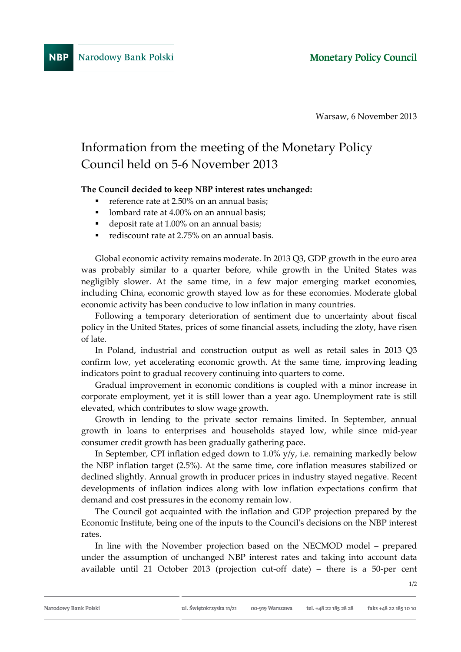Warsaw, 6 November 2013

## Information from the meeting of the Monetary Policy Council held on 5-6 November 2013

## **The Council decided to keep NBP interest rates unchanged:**

- reference rate at 2.50% on an annual basis;
- lombard rate at 4.00% on an annual basis;
- deposit rate at 1.00% on an annual basis;
- rediscount rate at 2.75% on an annual basis.

Global economic activity remains moderate. In 2013 Q3, GDP growth in the euro area was probably similar to a quarter before, while growth in the United States was negligibly slower. At the same time, in a few major emerging market economies, including China, economic growth stayed low as for these economies. Moderate global economic activity has been conducive to low inflation in many countries.

Following a temporary deterioration of sentiment due to uncertainty about fiscal policy in the United States, prices of some financial assets, including the zloty, have risen of late.

In Poland, industrial and construction output as well as retail sales in 2013 Q3 confirm low, yet accelerating economic growth. At the same time, improving leading indicators point to gradual recovery continuing into quarters to come.

Gradual improvement in economic conditions is coupled with a minor increase in corporate employment, yet it is still lower than a year ago. Unemployment rate is still elevated, which contributes to slow wage growth.

Growth in lending to the private sector remains limited. In September, annual growth in loans to enterprises and households stayed low, while since mid-year consumer credit growth has been gradually gathering pace.

In September, CPI inflation edged down to  $1.0\%$  y/y, i.e. remaining markedly below the NBP inflation target (2.5%). At the same time, core inflation measures stabilized or declined slightly. Annual growth in producer prices in industry stayed negative. Recent developments of inflation indices along with low inflation expectations confirm that demand and cost pressures in the economy remain low.

The Council got acquainted with the inflation and GDP projection prepared by the Economic Institute, being one of the inputs to the Council's decisions on the NBP interest rates.

In line with the November projection based on the NECMOD model – prepared under the assumption of unchanged NBP interest rates and taking into account data available until 21 October 2013 (projection cut-off date) – there is a 50-per cent